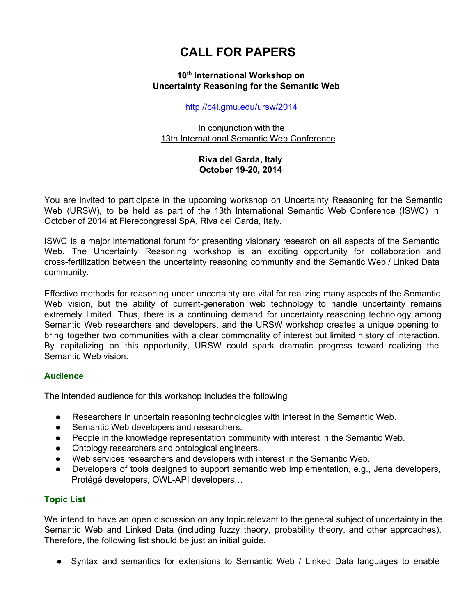# **CALL FOR PAPERS**

### **10 th International Workshop on [Uncertainty](http://www.google.com/url?q=http%3A%2F%2Fwww.iet.com%2Fiswc%2F2006%2Fursw%2F&sa=D&sntz=1&usg=AFQjCNEHm4o9q-jhTMD0o8Z9rcFIeq390w) Reasoning for the Semantic We[b](http://www.google.com/url?q=http%3A%2F%2Fwww.iet.com%2Fiswc%2F2006%2Fursw%2F&sa=D&sntz=1&usg=AFQjCNEHm4o9q-jhTMD0o8Z9rcFIeq390w)**

[http://c4i.gmu.edu/ursw/2014](http://www.google.com/url?q=http%3A%2F%2Fc4i.gmu.edu%2Fursw%2F2014&sa=D&sntz=1&usg=AFQjCNE1TMskDOAzkGI9NkNK6KR-fRJ9_g)

In conjunction with the 13th [International](http://www.google.com/url?q=http%3A%2F%2Fiswc2014.semanticweb.org&sa=D&sntz=1&usg=AFQjCNFXnuYEKmalqgXPFE3hVYVTwANdlw) Semantic Web Conferenc[e](http://www.google.com/url?q=http%3A%2F%2Fiswc2014.semanticweb.org&sa=D&sntz=1&usg=AFQjCNFXnuYEKmalqgXPFE3hVYVTwANdlw)

## **Riva del Garda, Italy October 1920, 2014**

You are invited to participate in the upcoming workshop on Uncertainty Reasoning for the Semantic Web (URSW), to be held as part of the 13th International Semantic Web Conference (ISWC) in October of 2014 at Fierecongressi SpA, Riva del Garda, Italy.

ISWC is a major international forum for presenting visionary research on all aspects of the Semantic Web. The Uncertainty Reasoning workshop is an exciting opportunity for collaboration and crossfertilization between the uncertainty reasoning community and the Semantic Web / Linked Data community.

Effective methods for reasoning under uncertainty are vital for realizing many aspects of the Semantic Web vision, but the ability of current-generation web technology to handle uncertainty remains extremely limited. Thus, there is a continuing demand for uncertainty reasoning technology among Semantic Web researchers and developers, and the URSW workshop creates a unique opening to bring together two communities with a clear commonality of interest but limited history of interaction. By capitalizing on this opportunity, URSW could spark dramatic progress toward realizing the Semantic Web vision.

# **Audience**

The intended audience for this workshop includes the following

- Researchers in uncertain reasoning technologies with interest in the Semantic Web.
- Semantic Web developers and researchers.
- People in the knowledge representation community with interest in the Semantic Web.
- Ontology researchers and ontological engineers.
- Web services researchers and developers with interest in the Semantic Web.
- Developers of tools designed to support semantic web implementation, e.g., Jena developers, Protégé developers, OWLAPI developers…

# **Topic List**

We intend to have an open discussion on any topic relevant to the general subject of uncertainty in the Semantic Web and Linked Data (including fuzzy theory, probability theory, and other approaches). Therefore, the following list should be just an initial guide.

● Syntax and semantics for extensions to Semantic Web / Linked Data languages to enable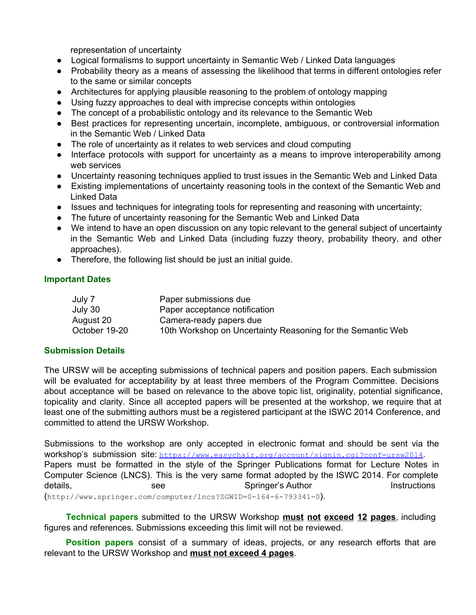representation of uncertainty

- Logical formalisms to support uncertainty in Semantic Web / Linked Data languages
- Probability theory as a means of assessing the likelihood that terms in different ontologies refer to the same or similar concepts
- Architectures for applying plausible reasoning to the problem of ontology mapping
- Using fuzzy approaches to deal with imprecise concepts within ontologies
- The concept of a probabilistic ontology and its relevance to the Semantic Web
- Best practices for representing uncertain, incomplete, ambiguous, or controversial information in the Semantic Web / Linked Data
- The role of uncertainty as it relates to web services and cloud computing
- Interface protocols with support for uncertainty as a means to improve interoperability among web services
- Uncertainty reasoning techniques applied to trust issues in the Semantic Web and Linked Data
- Existing implementations of uncertainty reasoning tools in the context of the Semantic Web and Linked Data
- Issues and techniques for integrating tools for representing and reasoning with uncertainty;
- The future of uncertainty reasoning for the Semantic Web and Linked Data
- We intend to have an open discussion on any topic relevant to the general subject of uncertainty in the Semantic Web and Linked Data (including fuzzy theory, probability theory, and other approaches).
- Therefore, the following list should be just an initial guide.

## **Important Dates**

| July 7        | Paper submissions due                                       |
|---------------|-------------------------------------------------------------|
| July 30       | Paper acceptance notification                               |
| August 20     | Camera-ready papers due                                     |
| October 19-20 | 10th Workshop on Uncertainty Reasoning for the Semantic Web |

### **Submission Details**

The URSW will be accepting submissions of technical papers and position papers. Each submission will be evaluated for acceptability by at least three members of the Program Committee. Decisions about acceptance will be based on relevance to the above topic list, originality, potential significance, topicality and clarity. Since all accepted papers will be presented at the workshop, we require that at least one of the submitting authors must be a registered participant at the ISWC 2014 Conference, and committed to attend the URSW Workshop.

Submissions to the workshop are only accepted in electronic format and should be sent via the workshop's submission site: [https://www.easychair.org/account/signin.cgi?conf=ursw2014](https://www.google.com/url?q=https%3A%2F%2Fwww.easychair.org%2Faccount%2Fsignin.cgi%3Fconf%3Dursw2014&sa=D&sntz=1&usg=AFQjCNEs_NG0igZ3xJMNuxfEttQElvSbSQ). Papers must be formatted in the style of the Springer Publications format for Lecture Notes in Computer Science (LNCS). This is the very same format adopted by the ISWC 2014. For complete details, the see Springer's Author Instructions and the Springer's Author Instructions  $(\text{http://www.springer.com/computer/lncs?SGWID=0-164-6-793341-0}).$ 

**Technical papers** submitted to the URSW Workshop **must not exceed 12 pages**, including figures and references. Submissions exceeding this limit will not be reviewed.

**Position papers** consist of a summary of ideas, projects, or any research efforts that are relevant to the URSW Workshop and **must not exceed 4 pages**.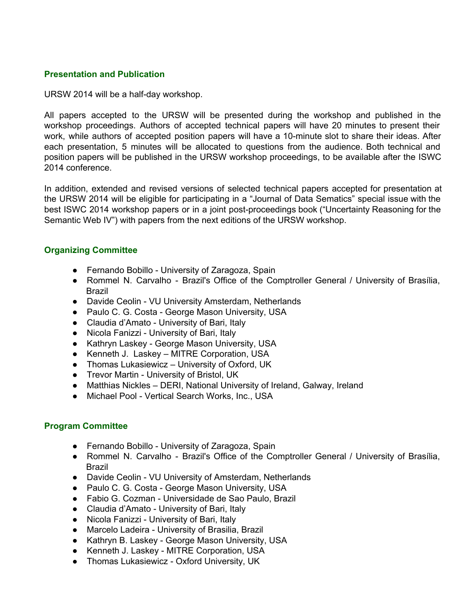### **Presentation and Publication**

URSW 2014 will be a half-day workshop.

All papers accepted to the URSW will be presented during the workshop and published in the workshop proceedings. Authors of accepted technical papers will have 20 minutes to present their work, while authors of accepted position papers will have a 10-minute slot to share their ideas. After each presentation, 5 minutes will be allocated to questions from the audience. Both technical and position papers will be published in the URSW workshop proceedings, to be available after the ISWC 2014 conference.

In addition, extended and revised versions of selected technical papers accepted for presentation at the URSW 2014 will be eligible for participating in a "Journal of Data Sematics" special issue with the best ISWC 2014 workshop papers or in a joint post-proceedings book ("Uncertainty Reasoning for the Semantic Web IV") with papers from the next editions of the URSW workshop.

## **Organizing Committee**

- Fernando Bobillo University of Zaragoza, Spain
- Rommel N. Carvalho Brazil's Office of the Comptroller General / University of Brasília, Brazil
- Davide Ceolin VU University Amsterdam, Netherlands
- Paulo C. G. Costa George Mason University, USA
- Claudia d'Amato University of Bari, Italy
- Nicola Fanizzi University of Bari, Italy
- Kathryn Laskey George Mason University, USA
- Kenneth J. Laskey MITRE Corporation, USA
- Thomas Lukasiewicz University of Oxford, UK
- Trevor Martin University of Bristol, UK
- Matthias Nickles DERI, National University of Ireland, Galway, Ireland
- Michael Pool Vertical Search Works, Inc., USA

### **Program Committee**

- Fernando Bobillo University of Zaragoza, Spain
- Rommel N. Carvalho Brazil's Office of the Comptroller General / University of Brasília, Brazil
- Davide Ceolin VU University of Amsterdam, Netherlands
- Paulo C. G. Costa George Mason University, USA
- Fabio G. Cozman Universidade de Sao Paulo, Brazil
- Claudia d'Amato University of Bari, Italy
- Nicola Fanizzi University of Bari, Italy
- Marcelo Ladeira University of Brasilia, Brazil
- Kathryn B. Laskey George Mason University, USA
- Kenneth J. Laskey MITRE Corporation, USA
- Thomas Lukasiewicz Oxford University, UK